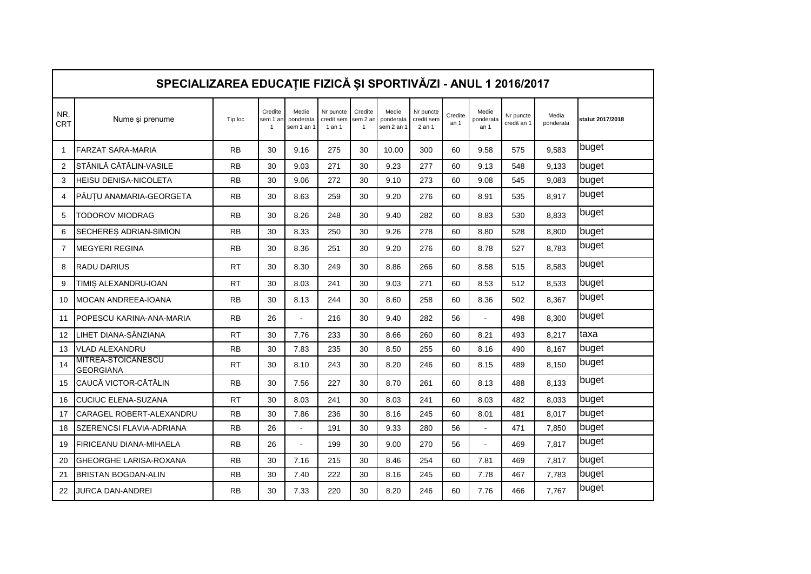|                   | SPECIALIZAREA EDUCAȚIE FIZICĂ ȘI SPORTIVĂ/ZI - ANUL 1 2016/2017 |           |                                       |                                  |                                   |                                     |                                  |                                   |                 |                            |                          |                    |                  |  |
|-------------------|-----------------------------------------------------------------|-----------|---------------------------------------|----------------------------------|-----------------------------------|-------------------------------------|----------------------------------|-----------------------------------|-----------------|----------------------------|--------------------------|--------------------|------------------|--|
| NR.<br><b>CRT</b> | Nume și prenume                                                 | Tip loc   | Credite<br>sem 1 an<br>$\overline{1}$ | Medie<br>ponderata<br>sem 1 an 1 | Nr puncte<br>credit sem<br>1 an 1 | Credite<br>sem 2 an<br>$\mathbf{1}$ | Medie<br>ponderata<br>sem 2 an 1 | Nr puncte<br>credit sem<br>2 an 1 | Credite<br>an 1 | Medie<br>ponderata<br>an 1 | Nr puncte<br>credit an 1 | Media<br>ponderata | statut 2017/2018 |  |
| $\mathbf{1}$      | <b>FARZAT SARA-MARIA</b>                                        | <b>RB</b> | 30                                    | 9.16                             | 275                               | 30                                  | 10.00                            | 300                               | 60              | 9.58                       | 575                      | 9.583              | buget            |  |
| 2                 | STĂNILĂ CĂTĂLIN-VASILE                                          | <b>RB</b> | 30                                    | 9.03                             | 271                               | 30                                  | 9.23                             | 277                               | 60              | 9.13                       | 548                      | 9.133              | buget            |  |
| 3                 | HEISU DENISA-NICOLETA                                           | <b>RB</b> | 30                                    | 9.06                             | 272                               | 30                                  | 9.10                             | 273                               | 60              | 9.08                       | 545                      | 9,083              | buget            |  |
| 4                 | PĂUȚU ANAMARIA-GEORGETA                                         | <b>RB</b> | 30                                    | 8.63                             | 259                               | 30                                  | 9.20                             | 276                               | 60              | 8.91                       | 535                      | 8,917              | buget            |  |
| 5                 | TODOROV MIODRAG                                                 | <b>RB</b> | 30                                    | 8.26                             | 248                               | 30                                  | 9.40                             | 282                               | 60              | 8.83                       | 530                      | 8,833              | buget            |  |
| 6                 | SECHERES ADRIAN-SIMION                                          | <b>RB</b> | 30                                    | 8.33                             | 250                               | 30                                  | 9.26                             | 278                               | 60              | 8.80                       | 528                      | 8.800              | buget            |  |
| $\overline{7}$    | <b>MEGYERI REGINA</b>                                           | <b>RB</b> | 30                                    | 8.36                             | 251                               | 30                                  | 9.20                             | 276                               | 60              | 8.78                       | 527                      | 8,783              | buget            |  |
| 8                 | <b>RADU DARIUS</b>                                              | <b>RT</b> | 30                                    | 8.30                             | 249                               | 30                                  | 8.86                             | 266                               | 60              | 8.58                       | 515                      | 8,583              | buget            |  |
| 9                 | TIMIȘ ALEXANDRU-IOAN                                            | <b>RT</b> | 30                                    | 8.03                             | 241                               | 30                                  | 9.03                             | 271                               | 60              | 8.53                       | 512                      | 8,533              | buget            |  |
| 10                | <b>MOCAN ANDREEA-IOANA</b>                                      | <b>RB</b> | 30                                    | 8.13                             | 244                               | 30                                  | 8.60                             | 258                               | 60              | 8.36                       | 502                      | 8.367              | buget            |  |
| 11                | POPESCU KARINA-ANA-MARIA                                        | <b>RB</b> | 26                                    | ä,                               | 216                               | 30                                  | 9.40                             | 282                               | 56              |                            | 498                      | 8,300              | buget            |  |
| 12                | LIHET DIANA-SÂNZIANA                                            | <b>RT</b> | 30                                    | 7.76                             | 233                               | 30                                  | 8.66                             | 260                               | 60              | 8.21                       | 493                      | 8,217              | taxa             |  |
| 13                | VLAD ALEXANDRU                                                  | RB        | 30                                    | 7.83                             | 235                               | 30                                  | 8.50                             | 255                               | 60              | 8.16                       | 490                      | 8,167              | buget            |  |
| 14                | MITREA-STOICĂNESCU<br><b>GEORGIANA</b>                          | <b>RT</b> | 30                                    | 8.10                             | 243                               | 30                                  | 8.20                             | 246                               | 60              | 8.15                       | 489                      | 8,150              | buget            |  |
| 15                | CAUCĂ VICTOR-CĂTĂLIN                                            | <b>RB</b> | 30                                    | 7.56                             | 227                               | 30                                  | 8.70                             | 261                               | 60              | 8.13                       | 488                      | 8.133              | buget            |  |
| 16                | <b>CUCIUC ELENA-SUZANA</b>                                      | <b>RT</b> | 30                                    | 8.03                             | 241                               | 30                                  | 8.03                             | 241                               | 60              | 8.03                       | 482                      | 8,033              | buget            |  |
| 17                | CARAGEL ROBERT-ALEXANDRU                                        | <b>RB</b> | 30                                    | 7.86                             | 236                               | 30                                  | 8.16                             | 245                               | 60              | 8.01                       | 481                      | 8,017              | buget            |  |
| 18                | SZERENCSI FLAVIA-ADRIANA                                        | <b>RB</b> | 26                                    | $\ddot{\phantom{a}}$             | 191                               | 30                                  | 9.33                             | 280                               | 56              | $\blacksquare$             | 471                      | 7.850              | buget            |  |
| 19                | <b>FIRICEANU DIANA-MIHAELA</b>                                  | <b>RB</b> | 26                                    | ä,                               | 199                               | 30                                  | 9.00                             | 270                               | 56              | ÷,                         | 469                      | 7,817              | buget            |  |
| 20                | <b>GHEORGHE LARISA-ROXANA</b>                                   | <b>RB</b> | 30                                    | 7.16                             | 215                               | 30                                  | 8.46                             | 254                               | 60              | 7.81                       | 469                      | 7,817              | buget            |  |
| 21                | <b>BRISTAN BOGDAN-ALIN</b>                                      | <b>RB</b> | 30                                    | 7.40                             | 222                               | 30                                  | 8.16                             | 245                               | 60              | 7.78                       | 467                      | 7,783              | buget            |  |
| 22                | JURCA DAN-ANDREI                                                | <b>RB</b> | 30                                    | 7.33                             | 220                               | 30                                  | 8.20                             | 246                               | 60              | 7.76                       | 466                      | 7,767              | buget            |  |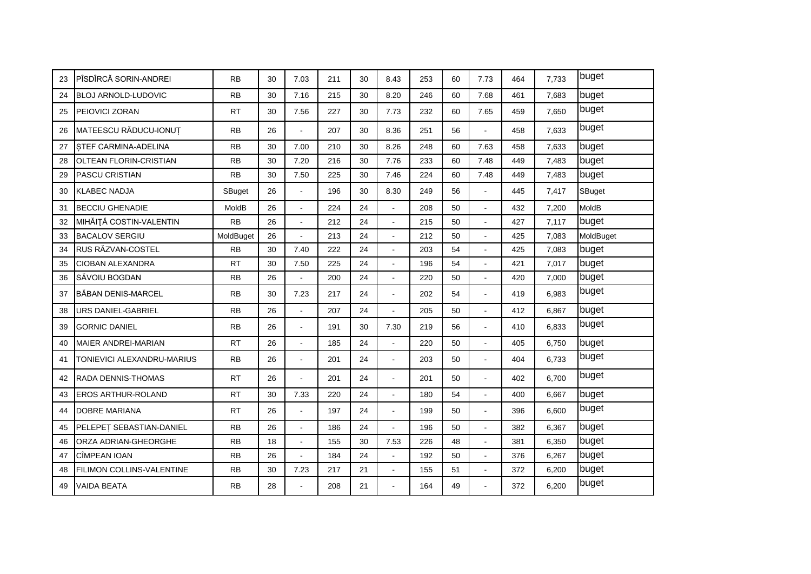| 23 | PÎSDÎRCĂ SORIN-ANDREI      | <b>RB</b> | 30 | 7.03                 | 211 | 30 | 8.43                  | 253 | 60 | 7.73           | 464 | 7.733 | buget     |
|----|----------------------------|-----------|----|----------------------|-----|----|-----------------------|-----|----|----------------|-----|-------|-----------|
| 24 | BLOJ ARNOLD-LUDOVIC        | <b>RB</b> | 30 | 7.16                 | 215 | 30 | 8.20                  | 246 | 60 | 7.68           | 461 | 7,683 | buget     |
| 25 | PEIOVICI ZORAN             | <b>RT</b> | 30 | 7.56                 | 227 | 30 | 7.73                  | 232 | 60 | 7.65           | 459 | 7,650 | buget     |
| 26 | MATEESCU RĂDUCU-IONUȚ      | <b>RB</b> | 26 | $\overline{a}$       | 207 | 30 | 8.36                  | 251 | 56 | $\blacksquare$ | 458 | 7,633 | buget     |
| 27 | STEF CARMINA-ADELINA       | <b>RB</b> | 30 | 7.00                 | 210 | 30 | 8.26                  | 248 | 60 | 7.63           | 458 | 7,633 | buget     |
| 28 | OLTEAN FLORIN-CRISTIAN     | <b>RB</b> | 30 | 7.20                 | 216 | 30 | 7.76                  | 233 | 60 | 7.48           | 449 | 7,483 | buget     |
| 29 | PASCU CRISTIAN             | <b>RB</b> | 30 | 7.50                 | 225 | 30 | 7.46                  | 224 | 60 | 7.48           | 449 | 7,483 | buget     |
| 30 | <b>KLABEC NADJA</b>        | SBuget    | 26 | $\mathbf{r}$         | 196 | 30 | 8.30                  | 249 | 56 |                | 445 | 7,417 | SBuget    |
| 31 | <b>BECCIU GHENADIE</b>     | MoldB     | 26 | $\overline{a}$       | 224 | 24 |                       | 208 | 50 |                | 432 | 7,200 | MoldB     |
| 32 | MIHĂIȚĂ COSTIN-VALENTIN    | <b>RB</b> | 26 | $\mathbf{r}$         | 212 | 24 | $\mathbf{r}$          | 215 | 50 |                | 427 | 7,117 | buget     |
| 33 | <b>BACALOV SERGIU</b>      | MoldBuget | 26 | $\mathbf{r}$         | 213 | 24 | $\overline{a}$        | 212 | 50 |                | 425 | 7,083 | MoldBuget |
| 34 | RUS RĂZVAN-COSTEL          | <b>RB</b> | 30 | 7.40                 | 222 | 24 | $\tilde{\phantom{a}}$ | 203 | 54 |                | 425 | 7,083 | buget     |
| 35 | <b>CIOBAN ALEXANDRA</b>    | <b>RT</b> | 30 | 7.50                 | 225 | 24 |                       | 196 | 54 |                | 421 | 7,017 | buget     |
| 36 | SĂVOIU BOGDAN              | <b>RB</b> | 26 | $\ddot{\phantom{a}}$ | 200 | 24 | $\tilde{\phantom{a}}$ | 220 | 50 | ä,             | 420 | 7,000 | buget     |
| 37 | <b>BĂBAN DENIS-MARCEL</b>  | <b>RB</b> | 30 | 7.23                 | 217 | 24 | $\sim$                | 202 | 54 | $\blacksquare$ | 419 | 6,983 | buget     |
| 38 | URS DANIEL-GABRIEL         | <b>RB</b> | 26 | $\overline{a}$       | 207 | 24 |                       | 205 | 50 |                | 412 | 6,867 | buget     |
| 39 | <b>GORNIC DANIEL</b>       | <b>RB</b> | 26 | $\blacksquare$       | 191 | 30 | 7.30                  | 219 | 56 |                | 410 | 6,833 | buget     |
| 40 | <b>MAIER ANDREI-MARIAN</b> | <b>RT</b> | 26 | $\overline{a}$       | 185 | 24 |                       | 220 | 50 |                | 405 | 6.750 | buget     |
| 41 | TONIEVICI ALEXANDRU-MARIUS | <b>RB</b> | 26 | $\ddot{\phantom{a}}$ | 201 | 24 | $\blacksquare$        | 203 | 50 | $\blacksquare$ | 404 | 6,733 | buget     |
| 42 | RADA DENNIS-THOMAS         | <b>RT</b> | 26 | ä,                   | 201 | 24 | $\mathbf{r}$          | 201 | 50 |                | 402 | 6,700 | buget     |
| 43 | <b>EROS ARTHUR-ROLAND</b>  | <b>RT</b> | 30 | 7.33                 | 220 | 24 |                       | 180 | 54 |                | 400 | 6,667 | buget     |
| 44 | <b>DOBRE MARIANA</b>       | <b>RT</b> | 26 | $\overline{a}$       | 197 | 24 | $\blacksquare$        | 199 | 50 |                | 396 | 6,600 | buget     |
| 45 | PELEPET SEBASTIAN-DANIEL   | <b>RB</b> | 26 | $\ddot{\phantom{a}}$ | 186 | 24 | $\overline{a}$        | 196 | 50 |                | 382 | 6,367 | buget     |
| 46 | ORZA ADRIAN-GHEORGHE       | <b>RB</b> | 18 | $\overline{a}$       | 155 | 30 | 7.53                  | 226 | 48 |                | 381 | 6,350 | buget     |
| 47 | CÎMPEAN IOAN               | <b>RB</b> | 26 | $\overline{a}$       | 184 | 24 | $\overline{a}$        | 192 | 50 | $\overline{a}$ | 376 | 6,267 | buget     |
| 48 | FILIMON COLLINS-VALENTINE  | <b>RB</b> | 30 | 7.23                 | 217 | 21 | $\sim$                | 155 | 51 | $\blacksquare$ | 372 | 6,200 | buget     |
| 49 | <b>VAIDA BEATA</b>         | <b>RB</b> | 28 |                      | 208 | 21 | $\sim$                | 164 | 49 |                | 372 | 6,200 | buget     |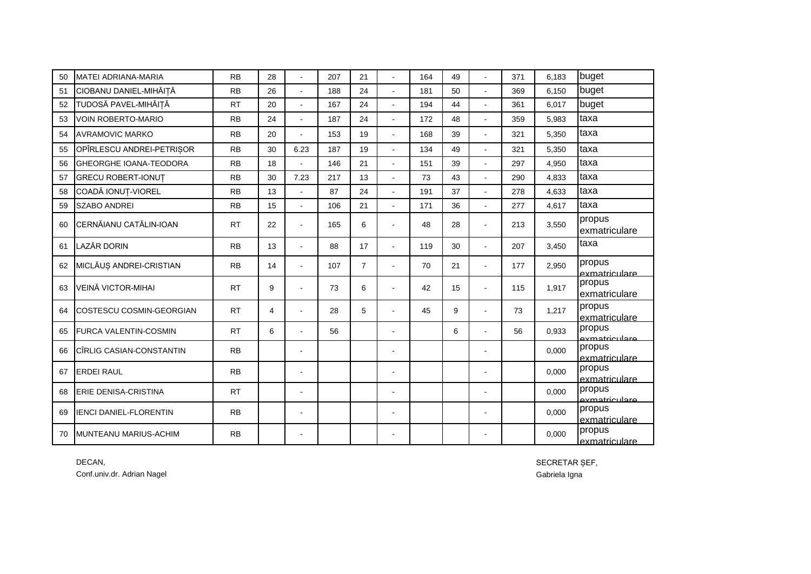| 50 | <b>MATEI ADRIANA-MARIA</b>    | <b>RB</b> | 28 |                          | 207 | 21             | ÷,                   | 164 | 49 |                | 371 | 6,183 | buget                   |
|----|-------------------------------|-----------|----|--------------------------|-----|----------------|----------------------|-----|----|----------------|-----|-------|-------------------------|
| 51 | CIOBANU DANIEL-MIHĂIȚĂ        | <b>RB</b> | 26 | L.                       | 188 | 24             | $\overline{a}$       | 181 | 50 |                | 369 | 6.150 | buget                   |
| 52 | TUDOSĂ PAVEL-MIHĂIȚĂ          | <b>RT</b> | 20 | L.                       | 167 | 24             |                      | 194 | 44 |                | 361 | 6,017 | buget                   |
| 53 | <b>VOIN ROBERTO-MARIO</b>     | <b>RB</b> | 24 | $\overline{a}$           | 187 | 24             | $\overline{a}$       | 172 | 48 |                | 359 | 5,983 | taxa                    |
| 54 | <b>AVRAMOVIC MARKO</b>        | <b>RB</b> | 20 |                          | 153 | 19             | $\overline{a}$       | 168 | 39 | $\overline{a}$ | 321 | 5,350 | taxa                    |
| 55 | OPÎRLESCU ANDREI-PETRIȘOR     | <b>RB</b> | 30 | 6.23                     | 187 | 19             | ÷.                   | 134 | 49 |                | 321 | 5.350 | taxa                    |
| 56 | <b>GHEORGHE IOANA-TEODORA</b> | <b>RB</b> | 18 | $\ddot{\phantom{a}}$     | 146 | 21             | $\ddot{\phantom{a}}$ | 151 | 39 | $\overline{a}$ | 297 | 4,950 | taxa                    |
| 57 | <b>GRECU ROBERT-IONUT</b>     | <b>RB</b> | 30 | 7.23                     | 217 | 13             | ÷,                   | 73  | 43 |                | 290 | 4,833 | taxa                    |
| 58 | COADĂ IONUȚ-VIOREL            | <b>RB</b> | 13 | L.                       | 87  | 24             | $\blacksquare$       | 191 | 37 |                | 278 | 4,633 | taxa                    |
| 59 | <b>SZABO ANDREI</b>           | <b>RB</b> | 15 | $\overline{a}$           | 106 | 21             |                      | 171 | 36 |                | 277 | 4,617 | taxa                    |
| 60 | CERNĂIANU CATĂLIN-IOAN        | <b>RT</b> | 22 | $\blacksquare$           | 165 | 6              | $\blacksquare$       | 48  | 28 |                | 213 | 3,550 | propus<br>exmatriculare |
| 61 | <b>LAZĂR DORIN</b>            | <b>RB</b> | 13 | $\overline{a}$           | 88  | 17             | $\overline{a}$       | 119 | 30 | $\overline{a}$ | 207 | 3,450 | taxa                    |
| 62 | MICLĂUȘ ANDREI-CRISTIAN       | <b>RB</b> | 14 | $\mathbf{r}$             | 107 | $\overline{7}$ | $\blacksquare$       | 70  | 21 | $\overline{a}$ | 177 | 2,950 | propus<br>exmatriculare |
| 63 | VEINĂ VICTOR-MIHAI            | <b>RT</b> | 9  | $\sim$                   | 73  | 6              | $\blacksquare$       | 42  | 15 | $\overline{a}$ | 115 | 1,917 | propus<br>exmatriculare |
| 64 | COSTESCU COSMIN-GEORGIAN      | <b>RT</b> | 4  | $\overline{a}$           | 28  | 5              | $\overline{a}$       | 45  | 9  | $\overline{a}$ | 73  | 1,217 | propus<br>exmatriculare |
| 65 | FURCA VALENTIN-COSMIN         | <b>RT</b> | 6  | $\overline{a}$           | 56  |                | $\overline{a}$       |     | 6  | $\overline{a}$ | 56  | 0,933 | propus<br>axmatriculare |
| 66 | CÎRLIG CASIAN-CONSTANTIN      | <b>RB</b> |    | $\overline{\phantom{a}}$ |     |                | $\overline{a}$       |     |    |                |     | 0,000 | propus<br>exmatriculare |
| 67 | <b>ERDEI RAUL</b>             | <b>RB</b> |    | $\overline{a}$           |     |                | ÷.                   |     |    |                |     | 0,000 | propus<br>exmatriculare |
| 68 | ERIE DENISA-CRISTINA          | <b>RT</b> |    | $\overline{a}$           |     |                | $\blacksquare$       |     |    |                |     | 0.000 | propus<br>exmatriculare |
| 69 | <b>IENCI DANIEL-FLORENTIN</b> | <b>RB</b> |    | $\overline{\phantom{a}}$ |     |                | ٠                    |     |    |                |     | 0,000 | propus<br>exmatriculare |
| 70 | <b>MUNTEANU MARIUS-ACHIM</b>  | <b>RB</b> |    | $\blacksquare$           |     |                | $\blacksquare$       |     |    | $\blacksquare$ |     | 0.000 | propus<br>exmatriculare |

DECAN, SECRETAR ȘEF, Conf.univ.dr. Adrian Nagel Gabriela Igna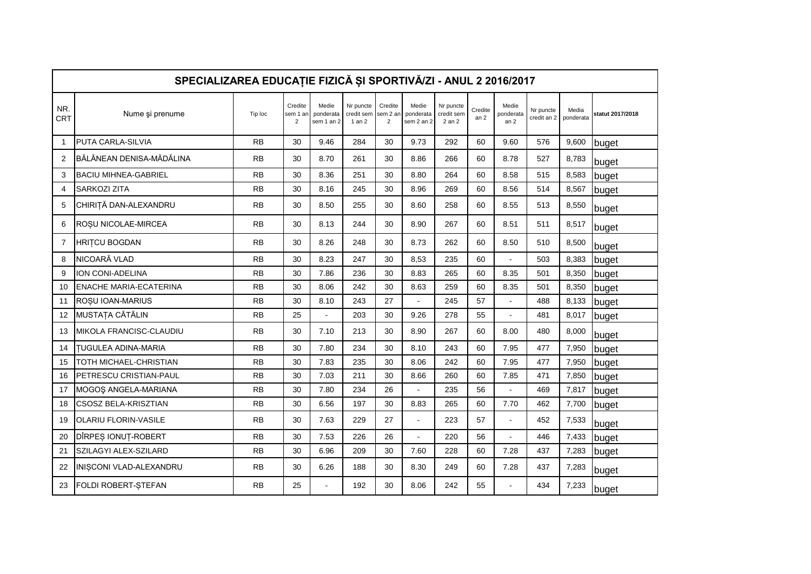|              | SPECIALIZAREA EDUCAȚIE FIZICĂ ȘI SPORTIVĂ/ZI - ANUL 2 2016/2017 |           |                                       |                                  |                                   |                                       |                                  |                                   |                            |                                       |                          |                    |                  |
|--------------|-----------------------------------------------------------------|-----------|---------------------------------------|----------------------------------|-----------------------------------|---------------------------------------|----------------------------------|-----------------------------------|----------------------------|---------------------------------------|--------------------------|--------------------|------------------|
| NR.<br>CRT   | Nume și prenume                                                 | Tip loc   | Credite<br>sem 1 an<br>$\overline{2}$ | Medie<br>ponderata<br>sem 1 an 2 | Nr puncte<br>credit sem<br>1 an 2 | Credite<br>sem 2 an<br>$\overline{2}$ | Medie<br>ponderata<br>sem 2 an 2 | Nr puncte<br>credit sem<br>2 an 2 | Credite<br>an <sub>2</sub> | Medie<br>ponderata<br>an <sub>2</sub> | Nr puncte<br>credit an 2 | Media<br>ponderata | statut 2017/2018 |
| $\mathbf{1}$ | PUTA CARLA-SILVIA                                               | <b>RB</b> | 30                                    | 9.46                             | 284                               | 30                                    | 9.73                             | 292                               | 60                         | 9.60                                  | 576                      | 9,600              | buget            |
| 2            | BĂLĂNEAN DENISA-MĂDĂLINA                                        | <b>RB</b> | 30                                    | 8.70                             | 261                               | 30                                    | 8.86                             | 266                               | 60                         | 8.78                                  | 527                      | 8,783              | buget            |
| 3            | <b>BACIU MIHNEA-GABRIEL</b>                                     | <b>RB</b> | 30                                    | 8.36                             | 251                               | 30                                    | 8.80                             | 264                               | 60                         | 8.58                                  | 515                      | 8,583              | buget            |
| 4            | <b>SARKOZI ZITA</b>                                             | <b>RB</b> | 30                                    | 8.16                             | 245                               | 30                                    | 8.96                             | 269                               | 60                         | 8.56                                  | 514                      | 8,567              | buget            |
| 5            | CHIRIȚĂ DAN-ALEXANDRU                                           | <b>RB</b> | 30                                    | 8.50                             | 255                               | 30                                    | 8.60                             | 258                               | 60                         | 8.55                                  | 513                      | 8,550              | buget            |
| 6            | ROȘU NICOLAE-MIRCEA                                             | <b>RB</b> | 30                                    | 8.13                             | 244                               | 30                                    | 8.90                             | 267                               | 60                         | 8.51                                  | 511                      | 8,517              | buget            |
| 7            | <b>HRITCU BOGDAN</b>                                            | <b>RB</b> | 30                                    | 8.26                             | 248                               | 30                                    | 8.73                             | 262                               | 60                         | 8.50                                  | 510                      | 8,500              | buget            |
| 8            | NICOARĂ VLAD                                                    | <b>RB</b> | 30                                    | 8.23                             | 247                               | 30                                    | 8,53                             | 235                               | 60                         |                                       | 503                      | 8,383              | buget            |
| 9            | ION CONI-ADELINA                                                | <b>RB</b> | 30                                    | 7.86                             | 236                               | 30                                    | 8.83                             | 265                               | 60                         | 8.35                                  | 501                      | 8,350              | buget            |
| 10           | <b>ENACHE MARIA-ECATERINA</b>                                   | <b>RB</b> | 30                                    | 8.06                             | 242                               | 30                                    | 8.63                             | 259                               | 60                         | 8.35                                  | 501                      | 8,350              | buget            |
| 11           | ROȘU IOAN-MARIUS                                                | <b>RB</b> | 30                                    | 8.10                             | 243                               | 27                                    | $\blacksquare$                   | 245                               | 57                         | ÷,                                    | 488                      | 8,133              | buget            |
| 12           | MUSTAȚA CĂTĂLIN                                                 | <b>RB</b> | 25                                    |                                  | 203                               | 30                                    | 9.26                             | 278                               | 55                         |                                       | 481                      | 8,017              | buget            |
| 13           | MIKOLA FRANCISC-CLAUDIU                                         | <b>RB</b> | 30                                    | 7.10                             | 213                               | 30                                    | 8.90                             | 267                               | 60                         | 8.00                                  | 480                      | 8,000              | buget            |
| 14           | TUGULEA ADINA-MARIA                                             | <b>RB</b> | 30                                    | 7.80                             | 234                               | 30                                    | 8.10                             | 243                               | 60                         | 7.95                                  | 477                      | 7,950              | buget            |
| 15           | TOTH MICHAEL-CHRISTIAN                                          | <b>RB</b> | 30                                    | 7.83                             | 235                               | 30                                    | 8.06                             | 242                               | 60                         | 7.95                                  | 477                      | 7,950              | buget            |
| 16           | PETRESCU CRISTIAN-PAUL                                          | <b>RB</b> | 30                                    | 7.03                             | 211                               | 30                                    | 8.66                             | 260                               | 60                         | 7.85                                  | 471                      | 7,850              | buget            |
| 17           | MOGOŞ ANGELA-MARIANA                                            | <b>RB</b> | 30                                    | 7.80                             | 234                               | 26                                    |                                  | 235                               | 56                         |                                       | 469                      | 7,817              | buget            |
| 18           | CSOSZ BELA-KRISZTIAN                                            | <b>RB</b> | 30                                    | 6.56                             | 197                               | 30                                    | 8.83                             | 265                               | 60                         | 7.70                                  | 462                      | 7,700              | buget            |
| 19           | <b>OLARIU FLORIN-VASILE</b>                                     | <b>RB</b> | 30                                    | 7.63                             | 229                               | 27                                    | $\overline{a}$                   | 223                               | 57                         | $\ddot{\phantom{a}}$                  | 452                      | 7,533              | buget            |
| 20           | DÎRPEȘ IONUȚ-ROBERT                                             | <b>RB</b> | 30                                    | 7.53                             | 226                               | 26                                    | $\ddot{\phantom{a}}$             | 220                               | 56                         | $\overline{a}$                        | 446                      | 7,433              | buget            |
| 21           | SZILAGYI ALEX-SZILARD                                           | <b>RB</b> | 30                                    | 6.96                             | 209                               | 30                                    | 7.60                             | 228                               | 60                         | 7.28                                  | 437                      | 7,283              | buget            |
| 22           | INIȘCONI VLAD-ALEXANDRU                                         | <b>RB</b> | 30                                    | 6.26                             | 188                               | 30                                    | 8.30                             | 249                               | 60                         | 7.28                                  | 437                      | 7,283              | buget            |
| 23           | FOLDI ROBERT-STEFAN                                             | <b>RB</b> | 25                                    |                                  | 192                               | 30                                    | 8.06                             | 242                               | 55                         |                                       | 434                      | 7,233              | buget            |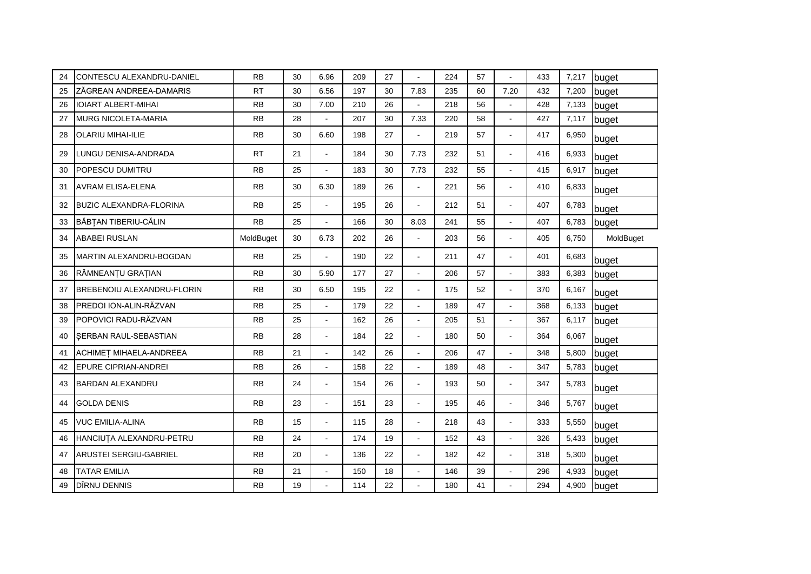| 24 | CONTESCU ALEXANDRU-DANIEL      | <b>RB</b> | 30 | 6.96           | 209 | 27 |                | 224 | 57 |                      | 433 | 7,217 | buget     |
|----|--------------------------------|-----------|----|----------------|-----|----|----------------|-----|----|----------------------|-----|-------|-----------|
| 25 | ZĂGREAN ANDREEA-DAMARIS        | <b>RT</b> | 30 | 6.56           | 197 | 30 | 7.83           | 235 | 60 | 7.20                 | 432 | 7,200 | buget     |
| 26 | <b>IOIART ALBERT-MIHAI</b>     | <b>RB</b> | 30 | 7.00           | 210 | 26 |                | 218 | 56 | $\blacksquare$       | 428 | 7,133 | buget     |
| 27 | <b>MURG NICOLETA-MARIA</b>     | <b>RB</b> | 28 | $\mathbf{r}$   | 207 | 30 | 7.33           | 220 | 58 | ä,                   | 427 | 7,117 | buget     |
| 28 | <b>OLARIU MIHAI-ILIE</b>       | <b>RB</b> | 30 | 6.60           | 198 | 27 | ÷.             | 219 | 57 | ä,                   | 417 | 6,950 | buget     |
| 29 | LUNGU DENISA-ANDRADA           | <b>RT</b> | 21 | $\mathbf{r}$   | 184 | 30 | 7.73           | 232 | 51 | $\overline{a}$       | 416 | 6,933 | buget     |
| 30 | POPESCU DUMITRU                | <b>RB</b> | 25 |                | 183 | 30 | 7.73           | 232 | 55 | $\overline{a}$       | 415 | 6,917 | buget     |
| 31 | <b>AVRAM ELISA-ELENA</b>       | <b>RB</b> | 30 | 6.30           | 189 | 26 | $\overline{a}$ | 221 | 56 | ä,                   | 410 | 6,833 | buget     |
| 32 | <b>BUZIC ALEXANDRA-FLORINA</b> | <b>RB</b> | 25 | $\overline{a}$ | 195 | 26 | L.             | 212 | 51 | $\blacksquare$       | 407 | 6,783 | buget     |
| 33 | BĂBȚAN TIBERIU-CĂLIN           | <b>RB</b> | 25 | $\mathbf{r}$   | 166 | 30 | 8.03           | 241 | 55 | $\overline{a}$       | 407 | 6,783 | buget     |
| 34 | <b>ABABEI RUSLAN</b>           | MoldBuget | 30 | 6.73           | 202 | 26 | $\overline{a}$ | 203 | 56 | $\overline{a}$       | 405 | 6,750 | MoldBuget |
| 35 | MARTIN ALEXANDRU-BOGDAN        | <b>RB</b> | 25 |                | 190 | 22 | $\overline{a}$ | 211 | 47 | ÷,                   | 401 | 6,683 | buget     |
| 36 | RÂMNEANȚU GRAȚIAN              | <b>RB</b> | 30 | 5.90           | 177 | 27 | $\blacksquare$ | 206 | 57 | $\overline{a}$       | 383 | 6,383 | buget     |
| 37 | BREBENOIU ALEXANDRU-FLORIN     | <b>RB</b> | 30 | 6.50           | 195 | 22 | $\overline{a}$ | 175 | 52 | $\blacksquare$       | 370 | 6,167 | buget     |
| 38 | PREDOI ION-ALIN-RĂZVAN         | <b>RB</b> | 25 | $\mathbf{r}$   | 179 | 22 | L.             | 189 | 47 | $\ddot{\phantom{a}}$ | 368 | 6,133 | buget     |
| 39 | POPOVICI RADU-RĂZVAN           | <b>RB</b> | 25 | $\blacksquare$ | 162 | 26 | $\blacksquare$ | 205 | 51 | $\overline{a}$       | 367 | 6,117 | buget     |
| 40 | SERBAN RAUL-SEBASTIAN          | <b>RB</b> | 28 | $\blacksquare$ | 184 | 22 | $\overline{a}$ | 180 | 50 | $\overline{a}$       | 364 | 6,067 | buget     |
| 41 | ACHIMET MIHAELA-ANDREEA        | <b>RB</b> | 21 |                | 142 | 26 | $\overline{a}$ | 206 | 47 |                      | 348 | 5,800 | buget     |
| 42 | <b>EPURE CIPRIAN-ANDREI</b>    | <b>RB</b> | 26 | $\mathbf{r}$   | 158 | 22 | $\overline{a}$ | 189 | 48 | $\overline{a}$       | 347 | 5,783 | buget     |
| 43 | BARDAN ALEXANDRU               | <b>RB</b> | 24 | $\sim$         | 154 | 26 | $\blacksquare$ | 193 | 50 | $\blacksquare$       | 347 | 5,783 | buget     |
| 44 | <b>GOLDA DENIS</b>             | <b>RB</b> | 23 | $\sim$         | 151 | 23 | $\overline{a}$ | 195 | 46 | $\overline{a}$       | 346 | 5,767 | buget     |
| 45 | <b>VUC EMILIA-ALINA</b>        | <b>RB</b> | 15 | $\blacksquare$ | 115 | 28 | $\overline{a}$ | 218 | 43 | $\overline{a}$       | 333 | 5,550 | buget     |
| 46 | HANCIUTA ALEXANDRU-PETRU       | <b>RB</b> | 24 | $\overline{a}$ | 174 | 19 | L.             | 152 | 43 | $\overline{a}$       | 326 | 5,433 | buget     |
| 47 | <b>ARUSTEI SERGIU-GABRIEL</b>  | <b>RB</b> | 20 | $\sim$         | 136 | 22 | $\overline{a}$ | 182 | 42 | $\blacksquare$       | 318 | 5,300 | buget     |
| 48 | <b>TATAR EMILIA</b>            | <b>RB</b> | 21 | $\overline{a}$ | 150 | 18 | L.             | 146 | 39 |                      | 296 | 4,933 | buget     |
| 49 | DÎRNU DENNIS                   | <b>RB</b> | 19 |                | 114 | 22 |                | 180 | 41 |                      | 294 | 4,900 | buget     |